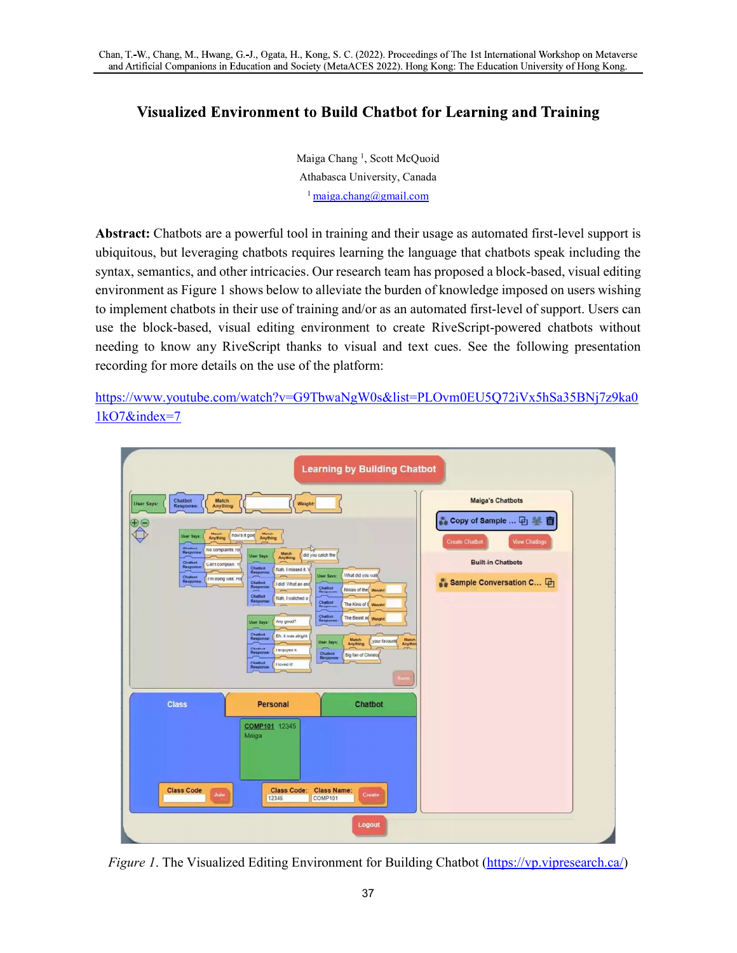## Visualized Environment to Build Chatbot for Learning and Training

Maiga Chang<sup>1</sup>, Scott McQuoid Athabasca University, Canada  $<sup>1</sup>$  maiga.chang@gmail.com</sup>

Abstract: Chatbots are a powerful tool in training and their usage as automated first-level support is ubiquitous, but leveraging chatbots requires learning the language that chatbots speak including the syntax, semantics, and other intricacies. Our research team has proposed a block-based, visual editing environment as Figure 1 shows below to alleviate the burden of knowledge imposed on users wishing to implement chatbots in their use of training and/or as an automated first-level of support. Users can use the block-based, visual editing environment to create RiveScript-powered chatbots without needing to know any RiveScript thanks to visual and text cues. See the following presentation recording for more details on the use of the platform:

https://www.youtube.com/watch?v=G9TbwaNgW0s&list=PLOvm0EU5Q72iVx5hSa35BNj7z9ka0 1kO7&index=7



Figure 1. The Visualized Editing Environment for Building Chatbot (https://vp.vipresearch.ca/)